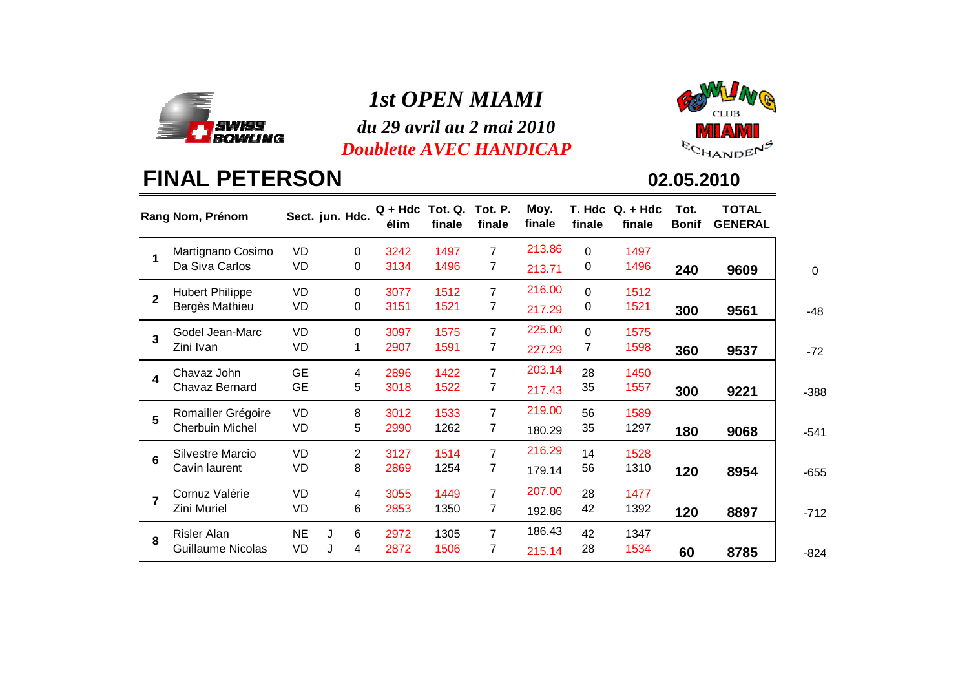

## *1st OPEN MIAMI*

 *du 29 avril au 2 mai 2010Doublette AVEC HANDICAP*



# **FINAL PETERSON**

|                         | Rang Nom, Prénom                             |                 | Sect. jun. Hdc.     | $Q + Hdc$<br>élim | Tot. Q.<br>finale | Tot. P.<br>finale   | Moy.<br>finale   | finale        | $T.$ Hdc $Q. +$ Hdc<br>finale | Tot.<br><b>Bonif</b> | TOTAL<br><b>GENERAL</b> |             |
|-------------------------|----------------------------------------------|-----------------|---------------------|-------------------|-------------------|---------------------|------------------|---------------|-------------------------------|----------------------|-------------------------|-------------|
| 1                       | Martignano Cosimo<br>Da Siva Carlos          | VD<br>VD        | $\Omega$<br>0       | 3242<br>3134      | 1497<br>1496      | $\overline{7}$<br>7 | 213.86<br>213.71 | $\Omega$<br>0 | 1497<br>1496                  |                      |                         |             |
|                         |                                              |                 |                     |                   |                   |                     | 216.00           |               |                               | 240                  | 9609                    | $\mathbf 0$ |
| $\overline{2}$          | <b>Hubert Philippe</b><br>Bergès Mathieu     | VD<br>VD        | $\Omega$<br>0       | 3077<br>3151      | 1512<br>1521      | $\overline{7}$<br>7 | 217.29           | $\Omega$<br>0 | 1512<br>1521                  | 300                  | 9561                    | $-48$       |
| 3                       | Godel Jean-Marc<br>Zini Ivan                 | VD<br>VD        | $\Omega$<br>1       | 3097<br>2907      | 1575<br>1591      | $\overline{7}$<br>7 | 225.00<br>227.29 | $\Omega$<br>7 | 1575<br>1598                  | 360                  | 9537                    | $-72$       |
| $\overline{\mathbf{4}}$ | Chavaz John<br>Chavaz Bernard                | GE<br>GE        | 4<br>5              | 2896<br>3018      | 1422<br>1522      | $\overline{7}$<br>7 | 203.14<br>217.43 | 28<br>35      | 1450<br>1557                  | 300                  | 9221                    | $-388$      |
| 5                       | Romailler Grégoire<br><b>Cherbuin Michel</b> | VD<br>VD        | 8<br>5              | 3012<br>2990      | 1533<br>1262      | $\overline{7}$<br>7 | 219.00<br>180.29 | 56<br>35      | 1589<br>1297                  | 180                  | 9068                    | $-541$      |
| 6                       | Silvestre Marcio<br>Cavin laurent            | VD<br>VD        | $\overline{2}$<br>8 | 3127<br>2869      | 1514<br>1254      | $\overline{7}$<br>7 | 216.29<br>179.14 | 14<br>56      | 1528<br>1310                  | 120                  | 8954                    | $-655$      |
| $\overline{7}$          | Cornuz Valérie<br>Zini Muriel                | VD<br>VD        | 4<br>6              | 3055<br>2853      | 1449<br>1350      | $\overline{7}$<br>7 | 207.00<br>192.86 | 28<br>42      | 1477<br>1392                  | 120                  | 8897                    | $-712$      |
| 8                       | Risler Alan<br><b>Guillaume Nicolas</b>      | <b>NE</b><br>VD | 6<br>J<br>J<br>4    | 2972<br>2872      | 1305<br>1506      | $\overline{7}$<br>7 | 186.43<br>215.14 | 42<br>28      | 1347<br>1534                  | 60                   | 8785                    | $-824$      |

**02.05.2010**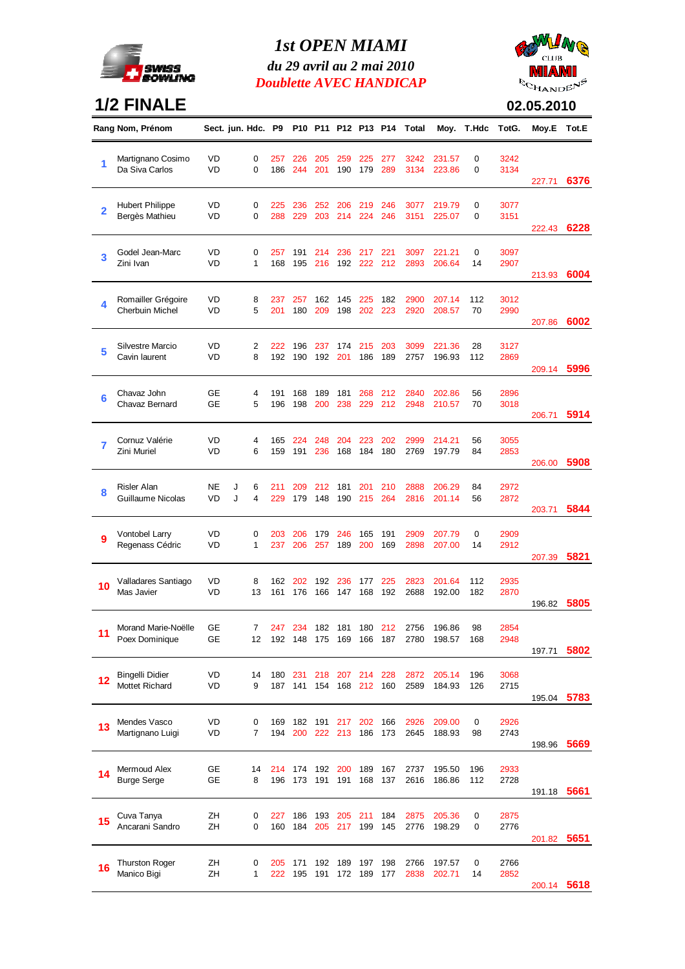

### *1st OPEN MIAMI*

*du 29 avril au 2 mai 2010 Doublette AVEC HANDICAP*



### **1/2 FINALE**

|  | $-1$ AND $\sim$ |
|--|-----------------|
|  | 02.05.2010      |

|                | Rang Nom, Prénom                         |                        | Sect. jun. Hdc. P9 |            |            |            |            |                |            | P10 P11 P12 P13 P14 Total | Moy.             | T.Hdc     | TotG.        | Moy.E  | Tot.E |
|----------------|------------------------------------------|------------------------|--------------------|------------|------------|------------|------------|----------------|------------|---------------------------|------------------|-----------|--------------|--------|-------|
| 1              | Martignano Cosimo<br>Da Siva Carlos      | <b>VD</b><br><b>VD</b> | 0<br>$\Omega$      | 257<br>186 | 226<br>244 | 205<br>201 | 259<br>190 | 225<br>179     | 277<br>289 | 3242<br>3134              | 231.57<br>223.86 | 0<br>0    | 3242<br>3134 |        |       |
|                |                                          |                        |                    |            |            |            |            |                |            |                           |                  |           |              | 227.71 | 6376  |
|                | <b>Hubert Philippe</b>                   | VD                     | 0                  | 225        | 236        | 252        | 206        | 219            | 246        | 3077                      | 219.79           | 0         | 3077         |        |       |
| $\overline{2}$ | Bergès Mathieu                           | VD                     | 0                  | 288        | 229        | 203        | 214        | 224            | 246        | 3151                      | 225.07           | 0         | 3151         |        |       |
|                |                                          |                        |                    |            |            |            |            |                |            |                           |                  |           |              | 222.43 | 6228  |
| 3              | Godel Jean-Marc                          | VD                     | 0                  | 257        | 191        | 214        | 236        | 217            | 221        | 3097                      | 221.21           | 0         | 3097         |        |       |
|                | Zini Ivan                                | VD                     | 1                  | 168        | 195        | 216        | 192        | 222            | 212        | 2893                      | 206.64           | 14        | 2907         | 213.93 | 6004  |
|                |                                          |                        |                    |            |            |            |            |                |            |                           |                  |           |              |        |       |
| 4              | Romailler Grégoire                       | VD                     | 8                  | 237        | 257        | 162        | 145        | 225            | 182        | 2900                      | 207.14           | 112       | 3012         |        |       |
|                | <b>Cherbuin Michel</b>                   | VD                     | 5                  | 201        | 180        | 209        | 198        | 202            | 223        | 2920                      | 208.57           | 70        | 2990         | 207.86 | 6002  |
|                |                                          |                        |                    |            |            |            |            |                |            |                           |                  |           |              |        |       |
| 5              | <b>Silvestre Marcio</b><br>Cavin laurent | VD<br>VD               | 2<br>8             | 222<br>192 | 196<br>190 | 237<br>192 | 174<br>201 | 215<br>186     | 203<br>189 | 3099<br>2757              | 221.36<br>196.93 | 28<br>112 | 3127<br>2869 |        |       |
|                |                                          |                        |                    |            |            |            |            |                |            |                           |                  |           |              | 209.14 | 5996  |
|                |                                          |                        |                    |            |            |            |            |                |            |                           |                  |           |              |        |       |
| 6              | Chavaz John<br>Chavaz Bernard            | GE<br><b>GE</b>        | 4<br>5             | 191<br>196 | 168<br>198 | 189<br>200 | 181<br>238 | 268<br>229     | 212<br>212 | 2840<br>2948              | 202.86<br>210.57 | 56<br>70  | 2896<br>3018 |        |       |
|                |                                          |                        |                    |            |            |            |            |                |            |                           |                  |           |              | 206.71 | 5914  |
|                |                                          |                        |                    |            |            |            |            |                |            |                           |                  |           |              |        |       |
| 7              | Cornuz Valérie<br>Zini Muriel            | VD<br>VD               | 4<br>6             | 165<br>159 | 224<br>191 | 248<br>236 | 204<br>168 | 223<br>184     | 202<br>180 | 2999<br>2769              | 214.21<br>197.79 | 56<br>84  | 3055<br>2853 |        |       |
|                |                                          |                        |                    |            |            |            |            |                |            |                           |                  |           |              | 206.00 | 5908  |
|                |                                          | <b>NE</b>              |                    |            |            |            |            |                |            |                           |                  |           |              |        |       |
| 8              | Risler Alan<br>Guillaume Nicolas         | VD                     | J<br>6<br>J<br>4   | 211<br>229 | 209<br>179 | 212<br>148 | 181<br>190 | 201<br>215     | 210<br>264 | 2888<br>2816              | 206.29<br>201.14 | 84<br>56  | 2972<br>2872 |        |       |
|                |                                          |                        |                    |            |            |            |            |                |            |                           |                  |           |              | 203.71 | 5844  |
|                | <b>Vontobel Larry</b>                    | VD                     | 0                  | 203        | 206        | 179        | 246        | 165            | 191        | 2909                      | 207.79           | 0         | 2909         |        |       |
| 9              | Regenass Cédric                          | VD                     | 1                  | 237        | 206        | 257        | 189        | 200            | 169        | 2898                      | 207.00           | 14        | 2912         |        |       |
|                |                                          |                        |                    |            |            |            |            |                |            |                           |                  |           |              | 207.39 | 5821  |
|                | Valladares Santiago                      | VD                     | 8                  | 162        | 202        | 192        | 236        | 177            | 225        | 2823                      | 201.64           | 112       | 2935         |        |       |
| 10             | Mas Javier                               | VD                     | 13                 | 161        | 176        | 166        | 147        | 168            | 192        | 2688                      | 192.00           | 182       | 2870         |        |       |
|                |                                          |                        |                    |            |            |            |            |                |            |                           |                  |           |              | 196.82 | 5805  |
| 11             | Morand Marie-Noëlle                      | GЕ                     | 7                  | 247        | 234        |            | 182 181    |                | 180 212    | 2756                      | 196.86           | 98        | 2854         |        |       |
|                | Poex Dominique                           | GЕ                     | 12                 | 192        | 148        | 175        | 169 166    |                | 187        | 2780                      | 198.57           | 168       | 2948         |        |       |
|                |                                          |                        |                    |            |            |            |            |                |            |                           |                  |           |              | 197.71 | 5802  |
|                | Bingelli Didier                          | VD                     | 14                 | 180        | 231        | 218        |            | 207 214        | 228        | 2872                      | 205.14           | 196       | 3068         |        |       |
|                | Mottet Richard                           | VD                     | 9                  | 187        | 141        | 154        | 168        | 212            | 160        | 2589                      | 184.93           | 126       | 2715         | 195.04 | 5783  |
|                |                                          |                        |                    |            |            |            |            |                |            |                           |                  |           |              |        |       |
| 13             | Mendes Vasco                             | VD                     | 0                  | 169        | 182        | 191        | 217        | 202            | 166        | 2926                      | 209.00           | 0         | 2926         |        |       |
|                | Martignano Luigi                         | VD                     | 7                  | 194        | 200        | 222        | 213        | 186            | 173        | 2645                      | 188.93           | 98        | 2743         | 198.96 | 5669  |
|                |                                          |                        |                    |            |            |            |            |                |            |                           |                  |           |              |        |       |
| 14             | Mermoud Alex                             | GE                     | 14                 | 214        | 174        | 192        | 200        | 189            | 167        | 2737                      | 195.50           | 196       | 2933         |        |       |
|                | <b>Burge Serge</b>                       | GЕ                     | 8                  | 196        | 173        | 191        | 191        | 168            | 137        | 2616                      | 186.86           | 112       | 2728         | 191.18 | 5661  |
|                |                                          |                        |                    |            |            |            |            |                |            |                           |                  |           |              |        |       |
| 15             | Cuva Tanya<br>Ancarani Sandro            | ZΗ<br>ZΗ               | 0<br>0             | 227<br>160 | 186<br>184 | 193<br>205 | 205        | 211<br>217 199 | 184<br>145 | 2875<br>2776              | 205.36<br>198.29 | 0<br>0    | 2875<br>2776 |        |       |
|                |                                          |                        |                    |            |            |            |            |                |            |                           |                  |           |              | 201.82 | 5651  |
|                |                                          |                        |                    |            |            |            |            |                |            |                           |                  |           |              |        |       |
| 16             | <b>Thurston Roger</b><br>Manico Bigi     | ZΗ<br>ZΗ               | 0<br>1             | 205<br>222 | 171<br>195 | 192<br>191 | 189<br>172 | 197<br>189     | 198<br>177 | 2766<br>2838              | 197.57<br>202.71 | 0<br>14   | 2766<br>2852 |        |       |
|                |                                          |                        |                    |            |            |            |            |                |            |                           |                  |           |              | 200.14 | 5618  |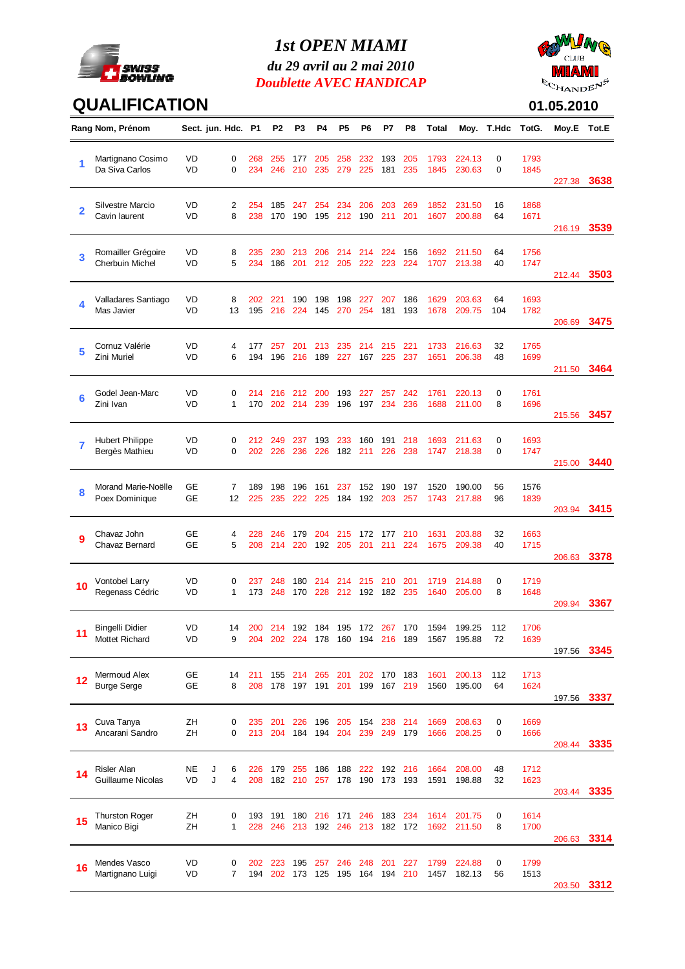

#### *1st OPEN MIAMI*

*du 29 avril au 2 mai 2010 Doublette AVEC HANDICAP*



## **QUALIFICATION**

| $\sim$ HANDE |  |
|--------------|--|
| 01.05.2010   |  |

|    | Rang Nom, Prénom                               |                 | Sect. jun. Hdc. P1 |            | P2             | P3               | P4         | P5                             | P6             | P7             | P8             | Total        |                  | Moy. T.Hdc | TotG.        | Moy.E Tot.E      |      |
|----|------------------------------------------------|-----------------|--------------------|------------|----------------|------------------|------------|--------------------------------|----------------|----------------|----------------|--------------|------------------|------------|--------------|------------------|------|
| 1  | Martignano Cosimo<br>Da Siva Carlos            | <b>VD</b><br>VD | 0<br>$\Omega$      | 268<br>234 | 255<br>246     | 177<br>210       | 205<br>235 | 258<br>279                     | 232<br>225     | 193<br>181     | 205<br>235     | 1793<br>1845 | 224.13<br>230.63 | 0<br>0     | 1793<br>1845 |                  | 3638 |
| 2  | Silvestre Marcio<br>Cavin laurent              | VD<br>VD        | 2<br>8             | 254<br>238 | 185<br>170     | 247<br>190       | 254<br>195 | 234<br>212                     | 206<br>190     | 203<br>211     | 269<br>201     | 1852<br>1607 | 231.50<br>200.88 | 16<br>64   | 1868<br>1671 | 227.38<br>216.19 | 3539 |
| 3  | Romailler Grégoire<br><b>Cherbuin Michel</b>   | VD<br>VD        | 8<br>5             | 235<br>234 | 230<br>186     | 213<br>201       | 206<br>212 | 214<br>205                     | 214<br>222     | 224<br>223     | 156<br>224     | 1692<br>1707 | 211.50<br>213.38 | 64<br>40   | 1756<br>1747 | 212.44           | 3503 |
| 4  | Valladares Santiago<br>Mas Javier              | VD<br><b>VD</b> | 8<br>13            | 202<br>195 | 221<br>216     | 190<br>224       | 198<br>145 | 198<br>270                     | 227<br>254     | 207<br>181     | 186<br>193     | 1629<br>1678 | 203.63<br>209.75 | 64<br>104  | 1693<br>1782 | 206.69           | 3475 |
| 5  | Cornuz Valérie<br>Zini Muriel                  | VD<br><b>VD</b> | 4<br>6             | 177<br>194 | 257<br>196     | 201<br>216       | 213<br>189 | 235<br>227                     | 214<br>167     | 215<br>225     | 221<br>237     | 1733<br>1651 | 216.63<br>206.38 | 32<br>48   | 1765<br>1699 | 211.50           | 3464 |
| 6  | Godel Jean-Marc<br>Zini Ivan                   | VD<br><b>VD</b> | 0<br>1             | 214<br>170 | 216<br>202     | 212<br>214       | 200<br>239 | 193<br>196                     | 227<br>197     | 257<br>234     | 242<br>236     | 1761<br>1688 | 220.13<br>211.00 | 0<br>8     | 1761<br>1696 | 215.56           | 3457 |
| 7  | <b>Hubert Philippe</b><br>Bergès Mathieu       | VD<br>VD        | 0<br>0             | 212<br>202 | 249<br>226     | 237<br>236       | 193<br>226 | 233                            | 160<br>182 211 | 191<br>226     | 218<br>238     | 1693<br>1747 | 211.63<br>218.38 | 0<br>0     | 1693<br>1747 | 215.00           | 3440 |
| 8  | Morand Marie-Noëlle<br>Poex Dominique          | GЕ<br><b>GE</b> | 7<br>12            | 189<br>225 | 198<br>235     | 196<br>222       | 161<br>225 | 237<br>184                     | 152<br>192     | 190<br>203     | 197<br>257     | 1520<br>1743 | 190.00<br>217.88 | 56<br>96   | 1576<br>1839 | 203.94           | 3415 |
| 9  | Chavaz John<br>Chavaz Bernard                  | GЕ<br><b>GE</b> | 4<br>5             | 228<br>208 | 246<br>214     | 179<br>220       | 204<br>192 | 215<br>205                     | 172<br>201     | 177<br>211     | 210<br>224     | 1631<br>1675 | 203.88<br>209.38 | 32<br>40   | 1663<br>1715 | 206.63           | 3378 |
| 10 | Vontobel Larry<br>Regenass Cédric              | VD<br>VD        | 0<br>1             | 237<br>173 | 248<br>248     | 180<br>170       | 214<br>228 | 214                            | 215<br>212 192 | 210<br>182 235 | 201            | 1719<br>1640 | 214.88<br>205.00 | 0<br>8     | 1719<br>1648 | 209.94           | 3367 |
| 11 | <b>Bingelli Didier</b><br>Mottet Richard       | <b>VD</b><br>VD | 14<br>9            | 204        | 200 214<br>202 | 192 184<br>- 224 | 178        | 195 172 267 170<br>160         | 194 216 189    |                |                | 1594<br>1567 | 199.25<br>195.88 | 112<br>72  | 1706<br>1639 | 197.56           | 3345 |
| 12 | Mermoud Alex<br><b>Burge Serge</b>             | GE<br><b>GE</b> | 14<br>8            | 211<br>208 | 155<br>178     | 214<br>197       | 265<br>191 | 201<br>201                     | 202<br>199     | 167            | 170 183<br>219 | 1601<br>1560 | 200.13<br>195.00 | 112<br>64  | 1713<br>1624 | 197.56           | 3337 |
| 13 | Cuva Tanya<br>Ancarani Sandro                  | ZΗ<br>ZΗ        | 0<br>0             | 235<br>213 | 201<br>204     | 226<br>184       | 196<br>194 | 205<br>204                     | 154<br>239     | 238<br>249     | 214<br>179     | 1669<br>1666 | 208.63<br>208.25 | 0<br>0     | 1669<br>1666 | 208.44 3335      |      |
|    | <b>Risler Alan</b><br><b>Guillaume Nicolas</b> | NE<br>VD        | J<br>6<br>J<br>4   | 226<br>208 | 179<br>182     | 255<br>210       | 186<br>257 | 188<br>178                     | 222<br>190     | 192<br>173     | 216<br>193     | 1664<br>1591 | 208.00<br>198.88 | 48<br>32   | 1712<br>1623 | 203.44 3335      |      |
| 15 | <b>Thurston Roger</b><br>Manico Bigi           | ZH<br>ZH        | 0<br>1             | 193<br>228 | 191<br>246     | 180<br>213       | 216<br>192 | 171<br>246                     | 246<br>213     | 183<br>182     | 234<br>172     | 1614<br>1692 | 201.75<br>211.50 | 0<br>8     | 1614<br>1700 | 206.63           | 3314 |
| 16 | Mendes Vasco<br>Martignano Luigi               | VD<br>VD        | 0<br>7             | 202        | 223<br>194 202 | 195              | 257        | 246<br>173 125 195 164 194 210 | 248            | 201            | 227            | 1799<br>1457 | 224.88<br>182.13 | 0<br>56    | 1799<br>1513 | 203.50           | 3312 |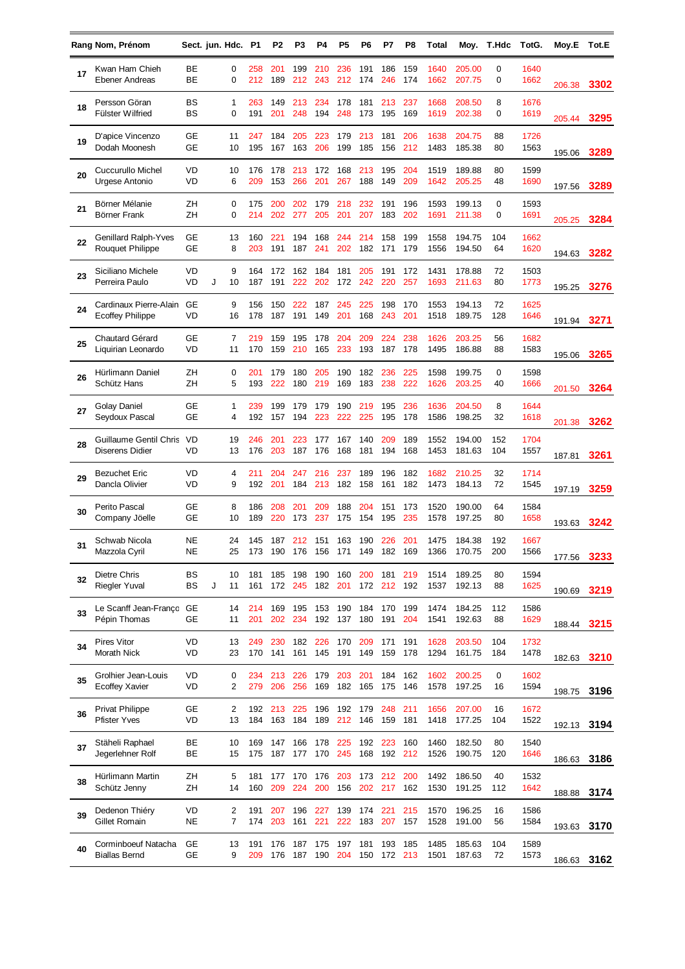|    | Rang Nom, Prénom                                  |                        | Sect. jun. Hdc. P1 |          |            | P2             | P3         | P4         | P5             | P6         | P7         | P8                                     | Total        |                       | Moy. T.Hdc | TotG.        | Moy.E       | Tot.E |
|----|---------------------------------------------------|------------------------|--------------------|----------|------------|----------------|------------|------------|----------------|------------|------------|----------------------------------------|--------------|-----------------------|------------|--------------|-------------|-------|
| 17 | Kwan Ham Chieh<br>Ebener Andreas                  | ВE<br>BЕ               |                    | 0<br>0   | 258<br>212 | 201<br>189     | 199<br>212 | 210<br>243 | 236<br>212     | 191<br>174 | 186<br>246 | 159<br>174                             | 1640<br>1662 | 205.00<br>207.75      | 0<br>0     | 1640<br>1662 | 206.38      | 3302  |
| 18 | Persson Göran<br><b>Fülster Wilfried</b>          | BS<br>BS               |                    | 1<br>0   | 263<br>191 | 149<br>201     | 213<br>248 | 234<br>194 | 178<br>248     | 181<br>173 | 213<br>195 | 237<br>169                             | 1668<br>1619 | 208.50<br>202.38      | 8<br>0     | 1676<br>1619 | 205.44      | 3295  |
| 19 | D'apice Vincenzo<br>Dodah Moonesh                 | GЕ<br><b>GE</b>        |                    | 11<br>10 | 247<br>195 | 184<br>167     | 205<br>163 | 223<br>206 | 179<br>199     | 213<br>185 | 181<br>156 | 206<br>212                             | 1638<br>1483 | 204.75<br>185.38      | 88<br>80   | 1726<br>1563 | 195.06      | 3289  |
| 20 | Cuccurullo Michel<br>Urgese Antonio               | VD<br>VD               |                    | 10<br>6  | 176<br>209 | 178<br>153     | 213<br>266 | 172<br>201 | 168<br>267     | 213<br>188 | 195<br>149 | 204<br>209                             | 1519<br>1642 | 189.88<br>205.25      | 80<br>48   | 1599<br>1690 | 197.56      | 3289  |
| 21 | Börner Mélanie<br>Börner Frank                    | ZΗ<br>ZΗ               |                    | 0<br>0   | 175<br>214 | 200<br>202     | 202<br>277 | 179<br>205 | 218<br>201     | 232<br>207 | 191<br>183 | 196<br>202                             | 1593<br>1691 | 199.13<br>211.38      | 0<br>0     | 1593<br>1691 | 205.25      | 3284  |
| 22 | Genillard Ralph-Yves<br><b>Rouquet Philippe</b>   | GЕ<br>GE               |                    | 13<br>8  | 160<br>203 | 221<br>191     | 194<br>187 | 168<br>241 | 244<br>202     | 214<br>182 | 158<br>171 | 199<br>179                             | 1558<br>1556 | 194.75<br>194.50      | 104<br>64  | 1662<br>1620 | 194.63      | 3282  |
| 23 | Siciliano Michele<br>Perreira Paulo               | VD<br>VD               | J                  | 9<br>10  | 164<br>187 | 172<br>191     | 162<br>222 | 184<br>202 | 181<br>172     | 205<br>242 | 191<br>220 | 172<br>257                             | 1431<br>1693 | 178.88<br>211.63      | 72<br>80   | 1503<br>1773 | 195.25      | 3276  |
| 24 | Cardinaux Pierre-Alain<br><b>Ecoffey Philippe</b> | GЕ<br>VD               |                    | 9<br>16  | 156<br>178 | 150<br>187     | 222<br>191 | 187<br>149 | 245<br>201     | 225<br>168 | 198<br>243 | 170<br>201                             | 1553<br>1518 | 194.13<br>189.75      | 72<br>128  | 1625<br>1646 | 191.94      | 3271  |
| 25 | <b>Chautard Gérard</b><br>Liquirian Leonardo      | GЕ<br>VD               |                    | 7<br>11  | 219<br>170 | 159<br>159     | 195<br>210 | 178<br>165 | 204<br>233     | 209<br>193 | 224<br>187 | 238<br>178                             | 1626<br>1495 | 203.25<br>186.88      | 56<br>88   | 1682<br>1583 | 195.06      | 3265  |
| 26 | Hürlimann Daniel<br>Schütz Hans                   | ZΗ<br>ZΗ               |                    | 0<br>5   | 201<br>193 | 179<br>222     | 180<br>180 | 205<br>219 | 190<br>169     | 182<br>183 | 236<br>238 | 225<br>222                             | 1598<br>1626 | 199.75<br>203.25      | 0<br>40    | 1598<br>1666 | 201.50      | 3264  |
| 27 | <b>Golay Daniel</b><br>Seydoux Pascal             | GЕ<br><b>GE</b>        |                    | 1<br>4   | 239<br>192 | 199<br>157     | 179<br>194 | 179<br>223 | 190<br>222     | 219<br>225 | 195<br>195 | 236<br>178                             | 1636<br>1586 | 204.50<br>198.25      | 8<br>32    | 1644<br>1618 | 201.38      | 3262  |
| 28 | Guillaume Gentil Chris<br><b>Diserens Didier</b>  | <b>VD</b><br>VD        |                    | 19<br>13 | 246<br>176 | 201<br>203     | 223<br>187 | 177<br>176 | 167<br>168     | 140<br>181 | 209<br>194 | 189<br>168                             | 1552<br>1453 | 194.00<br>181.63      | 152<br>104 | 1704<br>1557 | 187.81      | 3261  |
| 29 | <b>Bezuchet Eric</b><br>Dancla Olivier            | VD<br>VD               |                    | 4<br>9   | 211<br>192 | 204<br>201     | 247<br>184 | 216<br>213 | 237<br>182     | 189<br>158 | 196<br>161 | 182<br>182                             | 1682<br>1473 | 210.25<br>184.13      | 32<br>72   | 1714<br>1545 | 197.19      | 3259  |
| 30 | Perito Pascal<br>Company Jöelle                   | GE<br>GЕ               |                    | 8<br>10  | 186<br>189 | 208<br>220     | 201<br>173 | 209<br>237 | 188<br>175     | 204<br>154 | 151<br>195 | 173<br>235                             | 1520<br>1578 | 190.00<br>197.25      | 64<br>80   | 1584<br>1658 | 193.63      | 3242  |
| 31 | Schwab Nicola<br>Mazzola Cyril                    | <b>NE</b><br><b>NE</b> |                    | 24<br>25 | 145        | 187            | 212        | 151        | 163            | 190        | 226        | 201<br>173 190 176 156 171 149 182 169 | 1475         | 184.38<br>1366 170.75 | 192<br>200 | 1667<br>1566 | 177.56      | 3233  |
| 32 | Dietre Chris<br><b>Riegler Yuval</b>              | ВS<br>BS               | J                  | 10<br>11 | 181<br>161 | 185<br>172     | 198<br>245 | 190<br>182 | 160<br>201     | 200<br>172 | 181<br>212 | 219<br>192                             | 1514<br>1537 | 189.25<br>192.13      | 80<br>88   | 1594<br>1625 | 190.69      | 3219  |
| 33 | Le Scanff Jean-Franço GE<br>Pépin Thomas          | GЕ                     |                    | 14<br>11 | 214<br>201 | 169<br>202     | 195<br>234 | 153<br>192 | 190<br>137     | 184<br>180 | 170<br>191 | 199<br>204                             | 1474<br>1541 | 184.25<br>192.63      | 112<br>88  | 1586<br>1629 | 188.44 3215 |       |
| 34 | Pires Vitor<br>Morath Nick                        | VD<br>VD               |                    | 13<br>23 | 249<br>170 | 230<br>141     | 182<br>161 | 226<br>145 | 170<br>191     | 209<br>149 | 171<br>159 | 191<br>178                             | 1628<br>1294 | 203.50<br>161.75      | 104<br>184 | 1732<br>1478 | 182.63      | 3210  |
| 35 | Grolhier Jean-Louis<br>Ecoffey Xavier             | VD<br>VD               |                    | 0<br>2   | 234<br>279 | 213<br>206     | 226<br>256 | 179<br>169 | 203<br>182     | 201<br>165 | 184<br>175 | 162<br>146                             | 1602<br>1578 | 200.25<br>197.25      | 0<br>16    | 1602<br>1594 | 198.75      | 3196  |
| 36 | <b>Privat Philippe</b><br><b>Pfister Yves</b>     | GЕ<br>VD               |                    | 2<br>13  | 184        | 192 213<br>163 | 225<br>184 | 196<br>189 | 192 179<br>212 | 146        | 248<br>159 | 211<br>181                             | 1656<br>1418 | 207.00<br>177.25      | 16<br>104  | 1672<br>1522 | 192.13      | 3194  |
| 37 | Stäheli Raphael<br>Jegerlehner Rolf               | BE<br>ВE               |                    | 10<br>15 | 169<br>175 | 147<br>187     | 166<br>177 | 178<br>170 | 225<br>245     | 192<br>168 | 223        | 160<br>192 212                         | 1460<br>1526 | 182.50<br>190.75      | 80<br>120  | 1540<br>1646 | 186.63      | 3186  |
| 38 | Hürlimann Martin<br>Schütz Jenny                  | ZΗ<br>ZΗ               |                    | 5<br>14  | 181<br>160 | 177<br>209     | 170<br>224 | 176<br>200 | 203<br>156     | 173<br>202 | 212<br>217 | 200<br>162                             | 1492<br>1530 | 186.50<br>191.25      | 40<br>112  | 1532<br>1642 | 188.88      | 3174  |
| 39 | Dedenon Thiéry<br>Gillet Romain                   | VD<br>NE               |                    | 2<br>7   | 191<br>174 | 207<br>203     | 196<br>161 | 227<br>221 | 139<br>222     | 174<br>183 | 221<br>207 | 215<br>157                             | 1570<br>1528 | 196.25<br>191.00      | 16<br>56   | 1586<br>1584 | 193.63      | 3170  |
| 40 | Corminboeuf Natacha<br><b>Biallas Bernd</b>       | GЕ<br><b>GE</b>        |                    | 13<br>9  | 191<br>209 | 176<br>176     | 187<br>187 | 175<br>190 | 197<br>204     | 181<br>150 | 193        | 185<br>172 213                         | 1485<br>1501 | 185.63<br>187.63      | 104<br>72  | 1589<br>1573 | 186.63      | 3162  |